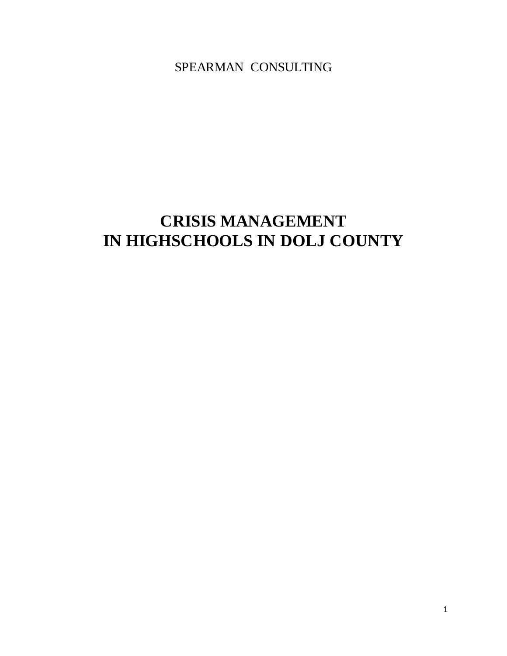SPEARMAN CONSULTING

# **CRISIS MANAGEMENT IN HIGHSCHOOLS IN DOLJ COUNTY**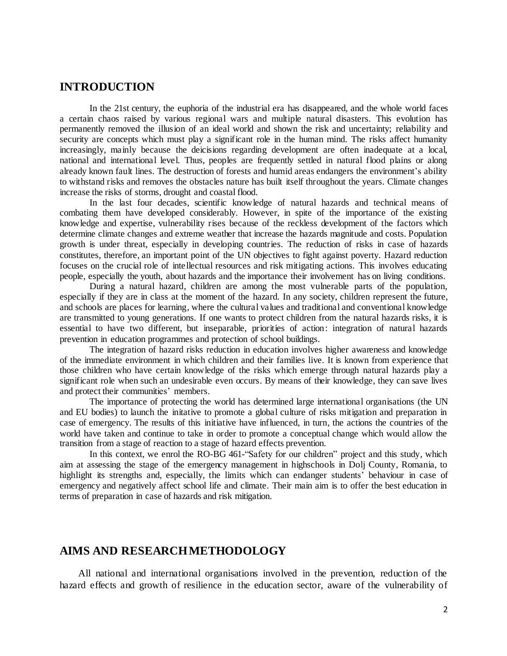## **INTRODUCTION**

In the 21st century, the euphoria of the industrial era has disappeared, and the whole world faces a certain chaos raised by various regional wars and multiple natural disasters. This evolution has permanently removed the illusion of an ideal world and shown the risk and uncertainty; reliability and security are concepts which must play a significant role in the human mind. The risks affect humanity increasingly, mainly because the deicisions regarding development are often inadequate at a local, national and international level. Thus, peoples are frequently settled in natural flood plains or along already known fault lines. The destruction of forests and humid areas endangers the environment's ability to withstand risks and removes the obstacles nature has built itself throughout the years. Climate changes increase the risks of storms, drought and coastal flood.

In the last four decades, scientific knowledge of natural hazards and technical means of combating them have developed considerably. However, in spite of the importance of the existing knowledge and expertise, vulnerability rises because of the reckless development of the factors which determine climate changes and extreme weather that increase the hazards magnitude and costs. Population growth is under threat, especially in developing countries. The reduction of risks in case of hazards constitutes, therefore, an important point of the UN objectives to fight against poverty. Hazard reduction focuses on the crucial role of intellectual resources and risk mitigating actions. This involves educating people, especially the youth, about hazards and the importance their involvement has on living conditions.

During a natural hazard, children are among the most vulnerable parts of the population, especially if they are in class at the moment of the hazard. In any society, children represent the future, and schools are places for learning, where the cultural values and traditional and conventional knowledge are transmitted to young generations. If one wants to protect children from the natural hazards risks, it is essential to have two different, but inseparable, priorities of action: integration of natural hazards prevention in education programmes and protection of school buildings.

The integration of hazard risks reduction in education involves higher awareness and knowledge of the immediate environment in which children and their families live. It is known from experience that those children who have certain knowledge of the risks which emerge through natural hazards play a significant role when such an undesirable even occurs. By means of their knowledge, they can save lives and protect their communities' members.

The importance of protecting the world has determined large international organisations (the UN and EU bodies) to launch the initative to promote a global culture of risks mitigation and preparation in case of emergency. The results of this initiative have influenced, in turn, the actions the countries of the world have taken and continue to take in order to promote a conceptual change which would allow the transition from a stage of reaction to a stage of hazard effects prevention.

In this context, we enrol the RO-BG 461-"Safety for our children" project and this study, which aim at assessing the stage of the emergency management in highschools in Dolj County, Romania, to highlight its strengths and, especially, the limits which can endanger students' behaviour in case of emergency and negatively affect school life and climate. Their main aim is to offer the best education in terms of preparation in case of hazards and risk mitigation.

### **AIMS AND RESEARCH METHODOLOGY**

All national and international organisations involved in the prevention, reduction of the hazard effects and growth of resilience in the education sector, aware of the vulnerability of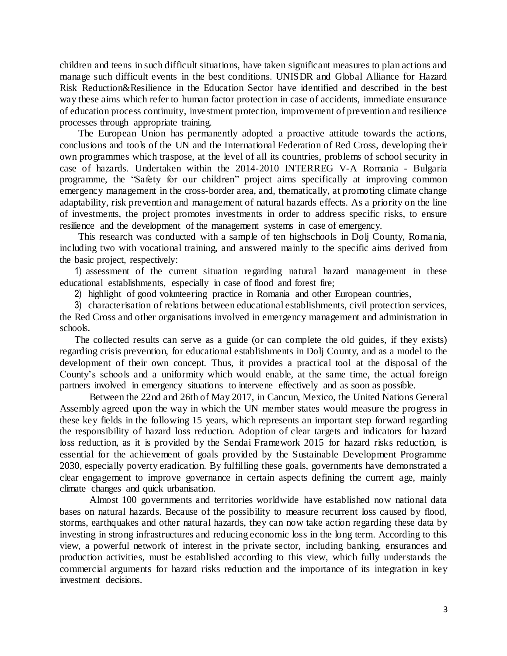children and teens in such difficult situations, have taken significant measures to plan actions and manage such difficult events in the best conditions. UNISDR and Global Alliance for Hazard Risk Reduction&Resilience in the Education Sector have identified and described in the best way these aims which refer to human factor protection in case of accidents, immediate ensurance of education process continuity, investment protection, improvement of prevention and resilience processes through appropriate training.

The European Union has permanently adopted a proactive attitude towards the actions, conclusions and tools of the UN and the International Federation of Red Cross, developing their own programmes which traspose, at the level of all its countries, problems of school security in case of hazards. Undertaken within the 2014-2010 [INTERREG V-A Romania -](https://www.keep.eu/search?programme=236) Bulgaria programme, the "Safety for our children" project aims specifically at improving common emergency management in the cross-border area, and, thematically, at promoting climate change adaptability, risk prevention and management of natural hazards effects. As a priority on the line of investments, the project promotes investments in order to address specific risks, to ensure resilience and the development of the management systems in case of emergency.

This research was conducted with a sample of ten highschools in Dolj County, Romania, including two with vocational training, and answered mainly to the specific aims derived from the basic project, respectively:

1) assessment of the current situation regarding natural hazard management in these educational establishments, especially in case of flood and forest fire;

2) highlight of good volunteering practice in Romania and other European countries,

3) characterisation of relations between educational establishments, civil protection services, the Red Cross and other organisations involved in emergency management and administration in schools.

The collected results can serve as a guide (or can complete the old guides, if they exists) regarding crisis prevention, for educational establishments in Dolj County, and as a model to the development of their own concept. Thus, it provides a practical tool at the disposal of the County's schools and a uniformity which would enable, at the same time, the actual foreign partners involved in emergency situations to intervene effectively and as soon as possible.

Between the 22nd and 26th of May 2017, in Cancun, Mexico, the United Nations General Assembly agreed upon the way in which the UN member states would measure the progress in these key fields in the following 15 years, which represents an important step forward regarding the responsibility of hazard loss reduction. Adoption of clear targets and indicators for hazard loss reduction, as it is provided by the Sendai Framework 2015 for hazard risks reduction, is essential for the achievement of goals provided by the Sustainable Development Programme 2030, especially poverty eradication. By fulfilling these goals, governments have demonstrated a clear engagement to improve governance in certain aspects defining the current age, mainly climate changes and quick urbanisation.

Almost 100 governments and territories worldwide have established now national data bases on natural hazards. Because of the possibility to measure recurrent loss caused by flood, storms, earthquakes and other natural hazards, they can now take action regarding these data by investing in strong infrastructures and reducing economic loss in the long term. According to this view, a powerful network of interest in the private sector, including banking, ensurances and production activities, must be established according to this view, which fully understands the commercial arguments for hazard risks reduction and the importance of its integration in key investment decisions.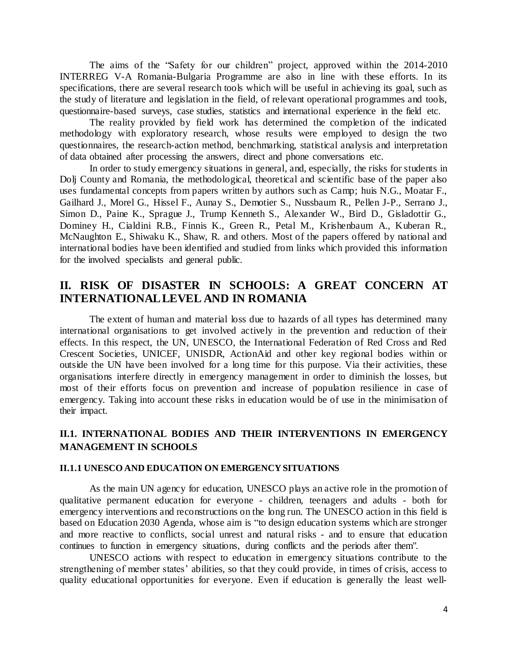The aims of the "Safety for our children" project, approved within the 2014-2010 [INTERREG V-A Romania-Bulgaria](https://www.keep.eu/search?programme=236) Programme are also in line with these efforts. In its specifications, there are several research tools which will be useful in achieving its goal, such as the study of literature and legislation in the field, of relevant operational programmes and tools, questionnaire-based surveys, case studies, statistics and international experience in the field etc.

The reality provided by field work has determined the completion of the indicated methodology with exploratory research, whose results were employed to design the two questionnaires, the research-action method, benchmarking, statistical analysis and interpretation of data obtained after processing the answers, direct and phone conversations etc.

In order to study emergency situations in general, and, especially, the risks for students in Dolj County and Romania, the methodological, theoretical and scientific base of the paper also uses fundamental concepts from papers written by authors such as Camp; huis N.G., Moatar F., Gailhard J., Morel G., Hissel F., Aunay S., Demotier S., Nussbaum R., Pellen J-P., Serrano J., Simon D., Paine K., Sprague J., Trump Kenneth S., Alexander W., Bird D., Gisladottir G., Dominey H., Cialdini R.B., Finnis K., Green R., Petal M., Krishenbaum A., Kuberan R., McNaughton E., Shiwaku K., Shaw, R. and others. Most of the papers offered by national and international bodies have been identified and studied from links which provided this information for the involved specialists and general public.

## **II. RISK OF DISASTER IN SCHOOLS: A GREAT CONCERN AT INTERNATIONAL LEVEL AND IN ROMANIA**

The extent of human and material loss due to hazards of all types has determined many international organisations to get involved actively in the prevention and reduction of their effects. In this respect, the UN, UNESCO, the International Federation of Red Cross and Red Crescent Societies, UNICEF, UNISDR, ActionAid and other key regional bodies within or outside the UN have been involved for a long time for this purpose. Via their activities, these organisations interfere directly in emergency management in order to diminish the losses, but most of their efforts focus on prevention and increase of population resilience in case of emergency. Taking into account these risks in education would be of use in the minimisation of their impact.

## **II.1. INTERNATIONAL BODIES AND THEIR INTERVENTIONS IN EMERGENCY MANAGEMENT IN SCHOOLS**

#### **II.1.1 UNESCO AND EDUCATION ON EMERGENCY SITUATIONS**

As the main UN agency for education, UNESCO plays an active role in the promotion of qualitative permanent education for everyone - children, teenagers and adults - both for emergency interventions and reconstructions on the long run. The UNESCO action in this field is based on Education 2030 Agenda, whose aim is "to design education systems which are stronger and more reactive to conflicts, social unrest and natural risks - and to ensure that education continues to function in emergency situations, during conflicts and the periods after them".

UNESCO actions with respect to education in emergency situations contribute to the strengthening of member states' abilities, so that they could provide, in times of crisis, access to quality educational opportunities for everyone. Even if education is generally the least well-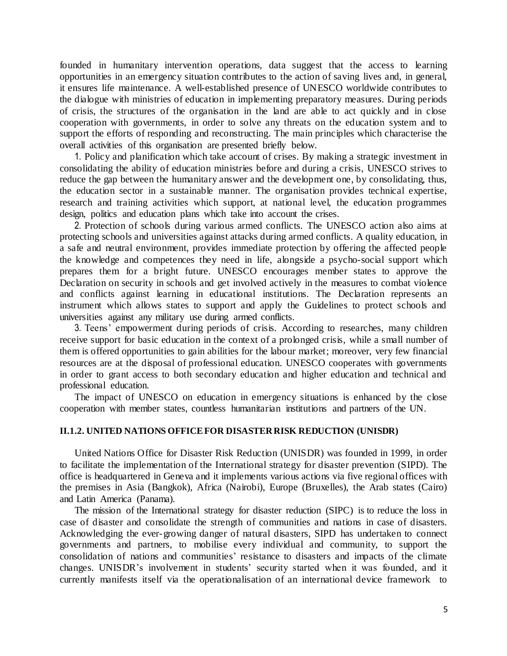founded in humanitary intervention operations, data suggest that the access to learning opportunities in an emergency situation contributes to the action of saving lives and, in general, it ensures life maintenance. A well-established presence of UNESCO worldwide contributes to the dialogue with ministries of education in implementing preparatory measures. During periods of crisis, the structures of the organisation in the land are able to act quickly and in close cooperation with governments, in order to solve any threats on the education system and to support the efforts of responding and reconstructing. The main principles which characterise the overall activities of this organisation are presented briefly below.

1. Policy and planification which take account of crises. By making a strategic investment in consolidating the ability of education ministries before and during a crisis, UNESCO strives to reduce the gap between the humanitary answer and the development one, by consolidating, thus, the education sector in a sustainable manner. The organisation provides technical expertise, research and training activities which support, at national level, the education programmes design, politics and education plans which take into account the crises.

2. Protection of schools during various armed conflicts. The UNESCO action also aims at protecting schools and universities against attacks during armed conflicts. A quality education, in a safe and neutral environment, provides immediate protection by offering the affected people the knowledge and competences they need in life, alongside a psycho-social support which prepares them for a bright future. UNESCO encourages member states to approve the Declaration on security in schools and get involved actively in the measures to combat violence and conflicts against learning in educational institutions. The Declaration represents an instrument which allows states to support and apply the Guidelines to protect schools and universities against any military use during armed conflicts.

3. Teens' empowerment during periods of crisis. According to researches, many children receive support for basic education in the context of a prolonged crisis, while a small number of them is offered opportunities to gain abilities for the labour market; moreover, very few financial resources are at the disposal of professional education. UNESCO cooperates with governments in order to grant access to both secondary education and higher education and technical and professional education.

The impact of UNESCO on education in emergency situations is enhanced by the close cooperation with member states, countless humanitarian institutions and partners of the UN.

#### **II.1.2. UNITED NATIONS OFFICE FOR DISASTER RISK REDUCTION (UNISDR)**

United Nations Office for Disaster Risk Reduction (UNISDR) was founded in 1999, in order to facilitate the implementation of the International strategy for disaster prevention (SIPD). The office is headquartered in Geneva and it implements various actions via five regional offices with the premises in Asia (Bangkok), Africa (Nairobi), Europe (Bruxelles), the Arab states (Cairo) and Latin America (Panama).

The mission of the International strategy for disaster reduction (SIPC) is to reduce the loss in case of disaster and consolidate the strength of communities and nations in case of disasters. Acknowledging the ever-growing danger of natural disasters, SIPD has undertaken to connect governments and partners, to mobilise every individual and community, to support the consolidation of nations and communities' resistance to disasters and impacts of the climate changes. UNISDR's involvement in students' security started when it was founded, and it currently manifests itself via the operationalisation of an international device framework to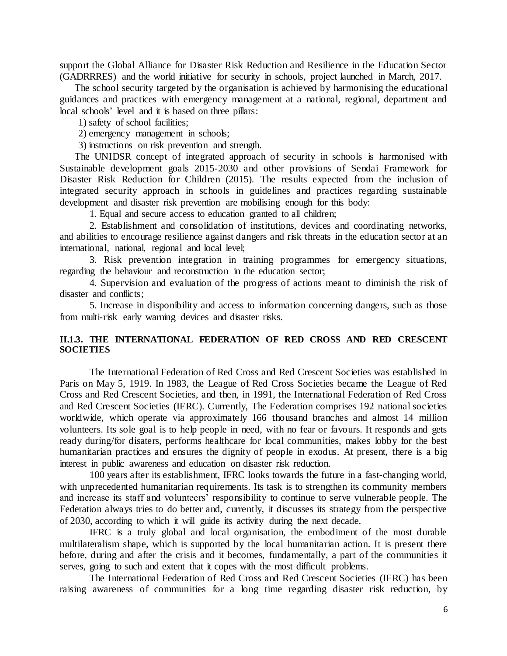support the Global Alliance for Disaster Risk Reduction and Resilience in the Education Sector (GADRRRES) and the world initiative for security in schools, project launched in March, 2017.

The school security targeted by the organisation is achieved by harmonising the educational guidances and practices with emergency management at a national, regional, department and local schools' level and it is based on three pillars:

1) safety of school facilities;

2) emergency management in schools;

3) instructions on risk prevention and strength.

The UNIDSR concept of integrated approach of security in schools is harmonised with Sustainable development goals 2015-2030 and other provisions of Sendai Framework for Disaster Risk Reduction for Children (2015). The results expected from the inclusion of integrated security approach in schools in guidelines and practices regarding sustainable development and disaster risk prevention are mobilising enough for this body:

1. Equal and secure access to education granted to all children;

2. Establishment and consolidation of institutions, devices and coordinating networks, and abilities to encourage resilience against dangers and risk threats in the education sector at an international, national, regional and local level;

3. Risk prevention integration in training programmes for emergency situations, regarding the behaviour and reconstruction in the education sector;

4. Supervision and evaluation of the progress of actions meant to diminish the risk of disaster and conflicts;

5. Increase in disponibility and access to information concerning dangers, such as those from multi-risk early warning devices and disaster risks.

#### **II.1.3. THE INTERNATIONAL FEDERATION OF RED CROSS AND RED CRESCENT SOCIETIES**

The International Federation of Red Cross and Red Crescent Societies was established in Paris on May 5, 1919. In 1983, the League of Red Cross Societies became the League of Red Cross and Red Crescent Societies, and then, in 1991, the International Federation of Red Cross and Red Crescent Societies (IFRC). Currently, The Federation comprises 192 national societies worldwide, which operate via approximately 166 thousand branches and almost 14 million volunteers. Its sole goal is to help people in need, with no fear or favours. It responds and gets ready during/for disaters, performs healthcare for local communities, makes lobby for the best humanitarian practices and ensures the dignity of people in exodus. At present, there is a big interest in public awareness and education on disaster risk reduction.

100 years after its establishment, IFRC looks towards the future in a fast-changing world, with unprecedented humanitarian requirements. Its task is to strengthen its community members and increase its staff and volunteers' responsibility to continue to serve vulnerable people. The Federation always tries to do better and, currently, it discusses its strategy from the perspective of 2030, according to which it will guide its activity during the next decade.

IFRC is a truly global and local organisation, the embodiment of the most durable multilateralism shape, which is supported by the local humanitarian action. It is present there before, during and after the crisis and it becomes, fundamentally, a part of the communities it serves, going to such and extent that it copes with the most difficult problems.

The International Federation of Red Cross and Red Crescent Societies (IFRC) has been raising awareness of communities for a long time regarding disaster risk reduction, by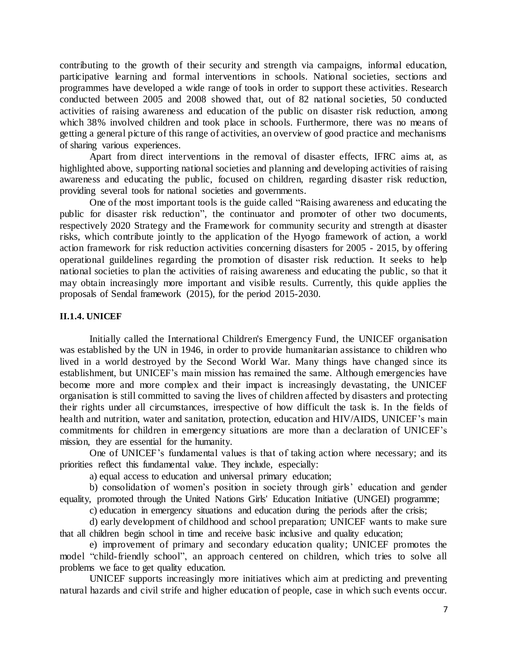contributing to the growth of their security and strength via campaigns, informal education, participative learning and formal interventions in schools. National societies, sections and programmes have developed a wide range of tools in order to support these activities. Research conducted between 2005 and 2008 showed that, out of 82 national societies, 50 conducted activities of raising awareness and education of the public on disaster risk reduction, among which 38% involved children and took place in schools. Furthermore, there was no means of getting a general picture of this range of activities, an overview of good practice and mechanisms of sharing various experiences.

Apart from direct interventions in the removal of disaster effects, IFRC aims at, as highlighted above, supporting national societies and planning and developing activities of raising awareness and educating the public, focused on children, regarding disaster risk reduction, providing several tools for national societies and governments.

One of the most important tools is the guide called "Raising awareness and educating the public for disaster risk reduction", the continuator and promoter of other two documents, respectively 2020 Strategy and the Framework for community security and strength at disaster risks, which contribute jointly to the application of the Hyogo framework of action, a world action framework for risk reduction activities concerning disasters for 2005 - 2015, by offering operational guildelines regarding the promotion of disaster risk reduction. It seeks to help national societies to plan the activities of raising awareness and educating the public, so that it may obtain increasingly more important and visible results. Currently, this quide applies the proposals of Sendal framework (2015), for the period 2015-2030.

#### **II.1.4. UNICEF**

Initially called the International Children's Emergency Fund, the UNICEF organisation was established by the UN in 1946, in order to provide humanitarian assistance to children who lived in a world destroyed by the Second World War. Many things have changed since its establishment, but UNICEF's main mission has remained the same. Although emergencies have become more and more complex and their impact is increasingly devastating, the UNICEF organisation is still committed to saving the lives of children affected by disasters and protecting their rights under all circumstances, irrespective of how difficult the task is. In the fields of health and nutrition, water and sanitation, protection, education and HIV/AIDS, UNICEF's main commitments for children in emergency situations are more than a declaration of UNICEF's mission, they are essential for the humanity.

One of UNICEF's fundamental values is that of taking action where necessary; and its priorities reflect this fundamental value. They include, especially:

a) equal access to education and universal primary education;

b) consolidation of women's position in society through girls' education and gender equality, promoted through the United Nations Girls' Education Initiative (UNGEI) programme;

c) education in emergency situations and education during the periods after the crisis;

d) early development of childhood and school preparation; UNICEF wants to make sure that all children begin school in time and receive basic inclusive and quality education;

e) improvement of primary and secondary education quality; UNICEF promotes the model "child-friendly school", an approach centered on children, which tries to solve all problems we face to get quality education.

UNICEF supports increasingly more initiatives which aim at predicting and preventing natural hazards and civil strife and higher education of people, case in which such events occur.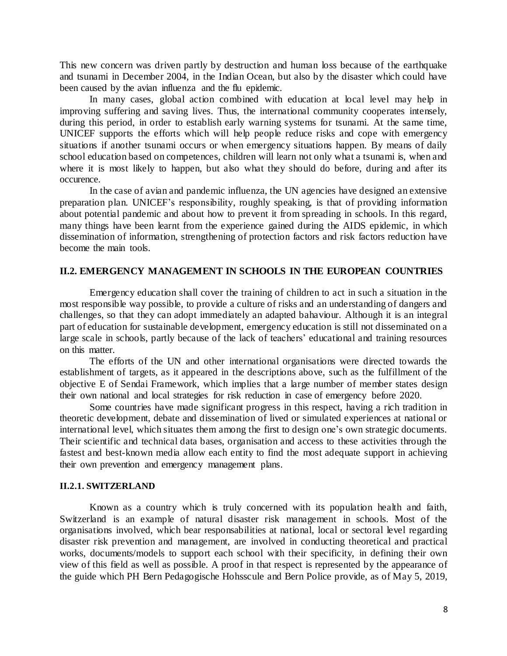This new concern was driven partly by destruction and human loss because of the earthquake and tsunami in December 2004, in the Indian Ocean, but also by the disaster which could have been caused by the avian influenza and the flu epidemic.

In many cases, global action combined with education at local level may help in improving suffering and saving lives. Thus, the international community cooperates intensely, during this period, in order to establish early warning systems for tsunami. At the same time, UNICEF supports the efforts which will help people reduce risks and cope with emergency situations if another tsunami occurs or when emergency situations happen. By means of daily school education based on competences, children will learn not only what a tsunami is, when and where it is most likely to happen, but also what they should do before, during and after its occurence.

In the case of avian and pandemic influenza, the UN agencies have designed an extensive preparation plan. UNICEF's responsibility, roughly speaking, is that of providing information about potential pandemic and about how to prevent it from spreading in schools. In this regard, many things have been learnt from the experience gained during the AIDS epidemic, in which dissemination of information, strengthening of protection factors and risk factors reduction have become the main tools.

#### **II.2. EMERGENCY MANAGEMENT IN SCHOOLS IN THE EUROPEAN COUNTRIES**

Emergency education shall cover the training of children to act in such a situation in the most responsible way possible, to provide a culture of risks and an understanding of dangers and challenges, so that they can adopt immediately an adapted bahaviour. Although it is an integral part of education for sustainable development, emergency education is still not disseminated on a large scale in schools, partly because of the lack of teachers' educational and training resources on this matter.

The efforts of the UN and other international organisations were directed towards the establishment of targets, as it appeared in the descriptions above, such as the fulfillment of the objective E of Sendai Framework, which implies that a large number of member states design their own national and local strategies for risk reduction in case of emergency before 2020.

Some countries have made significant progress in this respect, having a rich tradition in theoretic development, debate and dissemination of lived or simulated experiences at national or international level, which situates them among the first to design one's own strategic documents. Their scientific and technical data bases, organisation and access to these activities through the fastest and best-known media allow each entity to find the most adequate support in achieving their own prevention and emergency management plans.

#### **II.2.1. SWITZERLAND**

Known as a country which is truly concerned with its population health and faith, Switzerland is an example of natural disaster risk management in schools. Most of the organisations involved, which bear responsabilities at national, local or sectoral level regarding disaster risk prevention and management, are involved in conducting theoretical and practical works, documents/models to support each school with their specificity, in defining their own view of this field as well as possible. A proof in that respect is represented by the appearance of the guide which PH Bern Pedagogische Hohsscule and Bern Police provide, as of May 5, 2019,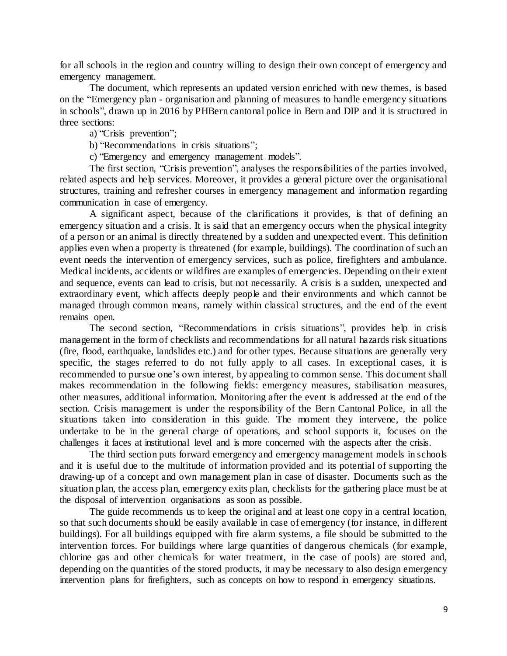for all schools in the region and country willing to design their own concept of emergency and emergency management.

The document, which represents an updated version enriched with new themes, is based on the "Emergency plan - organisation and planning of measures to handle emergency situations in schools", drawn up in 2016 by PHBern cantonal police in Bern and DIP and it is structured in three sections:

a) "Crisis prevention";

b) "Recommendations in crisis situations";

c) "Emergency and emergency management models".

The first section, "Crisis prevention", analyses the responsibilities of the parties involved, related aspects and help services. Moreover, it provides a general picture over the organisational structures, training and refresher courses in emergency management and information regarding communication in case of emergency.

A significant aspect, because of the clarifications it provides, is that of defining an emergency situation and a crisis. It is said that an emergency occurs when the physical integrity of a person or an animal is directly threatened by a sudden and unexpected event. This definition applies even when a property is threatened (for example, buildings). The coordination of such an event needs the intervention of emergency services, such as police, firefighters and ambulance. Medical incidents, accidents or wildfires are examples of emergencies. Depending on their extent and sequence, events can lead to crisis, but not necessarily. A crisis is a sudden, unexpected and extraordinary event, which affects deeply people and their environments and which cannot be managed through common means, namely within classical structures, and the end of the event remains open.

The second section, "Recommendations in crisis situations", provides help in crisis management in the form of checklists and recommendations for all natural hazards risk situations (fire, flood, earthquake, landslides etc.) and for other types. Because situations are generally very specific, the stages referred to do not fully apply to all cases. In exceptional cases, it is recommended to pursue one's own interest, by appealing to common sense. This document shall makes recommendation in the following fields: emergency measures, stabilisation measures, other measures, additional information. Monitoring after the event is addressed at the end of the section. Crisis management is under the responsibility of the Bern Cantonal Police, in all the situations taken into consideration in this guide. The moment they intervene, the police undertake to be in the general charge of operations, and school supports it, focuses on the challenges it faces at institutional level and is more concerned with the aspects after the crisis.

The third section puts forward emergency and emergency management models in schools and it is useful due to the multitude of information provided and its potential of supporting the drawing-up of a concept and own management plan in case of disaster. Documents such as the situation plan, the access plan, emergency exits plan, checklists for the gathering place must be at the disposal of intervention organisations as soon as possible.

The guide recommends us to keep the original and at least one copy in a central location, so that such documents should be easily available in case of emergency (for instance, in different buildings). For all buildings equipped with fire alarm systems, a file should be submitted to the intervention forces. For buildings where large quantities of dangerous chemicals (for example, chlorine gas and other chemicals for water treatment, in the case of pools) are stored and, depending on the quantities of the stored products, it may be necessary to also design emergency intervention plans for firefighters, such as concepts on how to respond in emergency situations.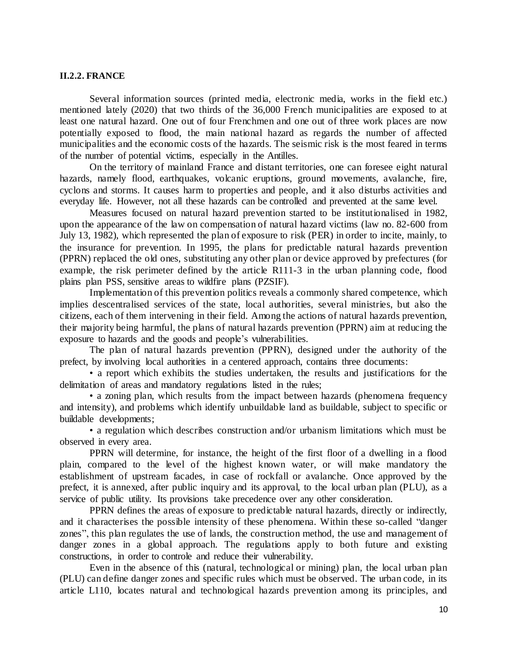#### **II.2.2. FRANCE**

Several information sources (printed media, electronic media, works in the field etc.) mentioned lately (2020) that two thirds of the 36,000 French municipalities are exposed to at least one natural hazard. One out of four Frenchmen and one out of three work places are now potentially exposed to flood, the main national hazard as regards the number of affected municipalities and the economic costs of the hazards. The seismic risk is the most feared in terms of the number of potential victims, especially in the Antilles.

On the territory of mainland France and distant territories, one can foresee eight natural hazards, namely flood, earthquakes, volcanic eruptions, ground movements, avalanche, fire, cyclons and storms. It causes harm to properties and people, and it also disturbs activities and everyday life. However, not all these hazards can be controlled and prevented at the same level.

Measures focused on natural hazard prevention started to be institutionalised in 1982, upon the appearance of the law on compensation of natural hazard victims (law no. 82-600 from July 13, 1982), which represented the plan of exposure to risk (PER) in order to incite, mainly, to the insurance for prevention. In 1995, the plans for predictable natural hazards prevention (PPRN) replaced the old ones, substituting any other plan or device approved by prefectures (for example, the risk perimeter defined by the article R111-3 in the urban planning code, flood plains plan PSS, sensitive areas to wildfire plans (PZSIF).

Implementation of this prevention politics reveals a commonly shared competence, which implies descentralised services of the state, local authorities, several ministries, but also the citizens, each of them intervening in their field. Among the actions of natural hazards prevention, their majority being harmful, the plans of natural hazards prevention (PPRN) aim at reducing the exposure to hazards and the goods and people's vulnerabilities.

The plan of natural hazards prevention (PPRN), designed under the authority of the prefect, by involving local authorities in a centered approach, contains three documents:

• a report which exhibits the studies undertaken, the results and justifications for the delimitation of areas and mandatory regulations listed in the rules;

• a zoning plan, which results from the impact between hazards (phenomena frequency and intensity), and problems which identify unbuildable land as buildable, subject to specific or buildable developments;

• a regulation which describes construction and/or urbanism limitations which must be observed in every area.

PPRN will determine, for instance, the height of the first floor of a dwelling in a flood plain, compared to the level of the highest known water, or will make mandatory the establishment of upstream facades, in case of rockfall or avalanche. Once approved by the prefect, it is annexed, after public inquiry and its approval, to the local urban plan (PLU), as a service of public utility. Its provisions take precedence over any other consideration.

PPRN defines the areas of exposure to predictable natural hazards, directly or indirectly, and it characterises the possible intensity of these phenomena. Within these so-called "danger zones", this plan regulates the use of lands, the construction method, the use and management of danger zones in a global approach. The regulations apply to both future and existing constructions, in order to controle and reduce their vulnerability.

Even in the absence of this (natural, technological or mining) plan, the local urban plan (PLU) can define danger zones and specific rules which must be observed. The urban code, in its article L110, locates natural and technological hazards prevention among its principles, and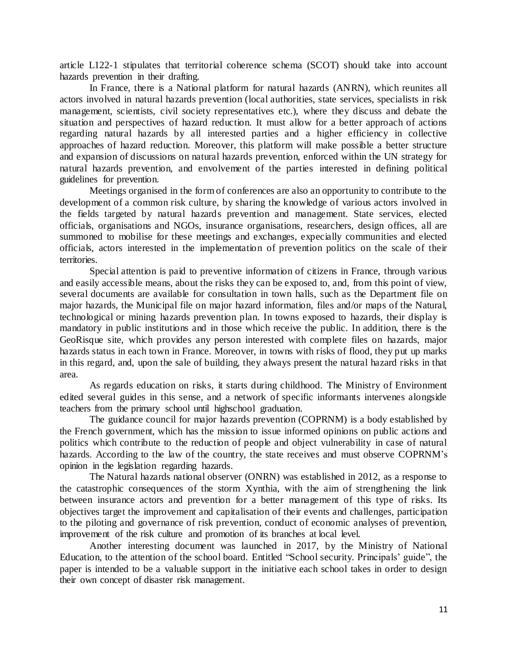article L122-1 stipulates that territorial coherence schema (SCOT) should take into account hazards prevention in their drafting.

In France, there is a National platform for natural hazards (ANRN), which reunites all actors involved in natural hazards prevention (local authorities, state services, specialists in risk management, scientists, civil society representatives etc.), where they discuss and debate the situation and perspectives of hazard reduction. It must allow for a better approach of actions regarding natural hazards by all interested parties and a higher efficiency in collective approaches of hazard reduction. Moreover, this platform will make possible a better structure and expansion of discussions on natural hazards prevention, enforced within the UN strategy for natural hazards prevention, and envolvement of the parties interested in defining political guidelines for prevention.

Meetings organised in the form of conferences are also an opportunity to contribute to the development of a common risk culture, by sharing the knowledge of various actors involved in the fields targeted by natural hazards prevention and management. State services, elected officials, organisations and NGOs, insurance organisations, researchers, design offices, all are summoned to mobilise for these meetings and exchanges, expecially communities and elected officials, actors interested in the implementation of prevention politics on the scale of their territories.

Special attention is paid to preventive information of citizens in France, through various and easily accessible means, about the risks they can be exposed to, and, from this point of view, several documents are available for consultation in town halls, such as the Department file on major hazards, the Municipal file on major hazard information, files and/or maps of the Natural, technological or mining hazards prevention plan. In towns exposed to hazards, their display is mandatory in public institutions and in those which receive the public. In addition, there is the GeoRisque site, which provides any person interested with complete files on hazards, major hazards status in each town in France. Moreover, in towns with risks of flood, they put up marks in this regard, and, upon the sale of building, they always present the natural hazard risks in that area.

As regards education on risks, it starts during childhood. The Ministry of Environment edited several guides in this sense, and a network of specific informants intervenes alongside teachers from the primary school until highschool graduation.

The guidance council for major hazards prevention (COPRNM) is a body established by the French government, which has the mission to issue informed opinions on public actions and politics which contribute to the reduction of people and object vulnerability in case of natural hazards. According to the law of the country, the state receives and must observe COPRNM's opinion in the legislation regarding hazards.

The Natural hazards national observer (ONRN) was established in 2012, as a response to the catastrophic consequences of the storm Xynthia, with the aim of strengthening the link between insurance actors and prevention for a better management of this type of risks. Its objectives target the improvement and capitalisation of their events and challenges, participation to the piloting and governance of risk prevention, conduct of economic analyses of prevention, improvement of the risk culture and promotion of its branches at local level.

Another interesting document was launched in 2017, by the Ministry of National Education, to the attention of the school board. Entitled "School security. Principals' guide", the paper is intended to be a valuable support in the initiative each school takes in order to design their own concept of disaster risk management.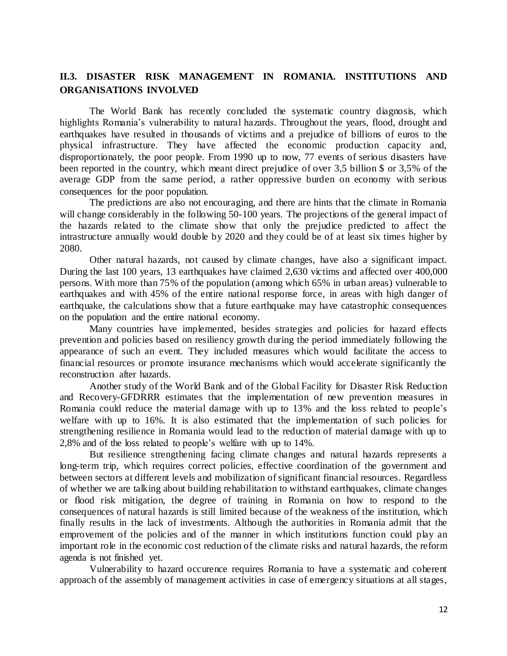## **II.3. DISASTER RISK MANAGEMENT IN ROMANIA. INSTITUTIONS AND ORGANISATIONS INVOLVED**

The World Bank has recently concluded the systematic country diagnosis, which highlights Romania's vulnerability to natural hazards. Throughout the years, flood, drought and earthquakes have resulted in thousands of victims and a prejudice of billions of euros to the physical infrastructure. They have affected the economic production capacity and, disproportionately, the poor people. From 1990 up to now, 77 events of serious disasters have been reported in the country, which meant direct prejudice of over 3,5 billion \$ or 3,5% of the average GDP from the same period, a rather oppressive burden on economy with serious consequences for the poor population.

The predictions are also not encouraging, and there are hints that the climate in Romania will change considerably in the following 50-100 years. The projections of the general impact of the hazards related to the climate show that only the prejudice predicted to affect the intrastructure annually would double by 2020 and they could be of at least six times higher by 2080.

Other natural hazards, not caused by climate changes, have also a significant impact. During the last 100 years, 13 earthquakes have claimed 2,630 victims and affected over 400,000 persons. With more than 75% of the population (among which 65% in urban areas) vulnerable to earthquakes and with 45% of the entire national response force, in areas with high danger of earthquake, the calculations show that a future earthquake may have catastrophic consequences on the population and the entire national economy.

Many countries have implemented, besides strategies and policies for hazard effects prevention and policies based on resiliency growth during the period immediately following the appearance of such an event. They included measures which would facilitate the access to financial resources or promote insurance mechanisms which would accelerate significantly the reconstruction after hazards.

Another study of the World Bank and of the Global Facility for Disaster Risk Reduction and Recovery-GFDRRR estimates that the implementation of new prevention measures in Romania could reduce the material damage with up to 13% and the loss related to people's welfare with up to 16%. It is also estimated that the implementation of such policies for strengthening resilience in Romania would lead to the reduction of material damage with up to 2,8% and of the loss related to people's welfare with up to 14%.

But resilience strengthening facing climate changes and natural hazards represents a long-term trip, which requires correct policies, effective coordination of the government and between sectors at different levels and mobilization of significant financial resources. Regardless of whether we are talking about building rehabilitation to withstand earthquakes, climate changes or flood risk mitigation, the degree of training in Romania on how to respond to the consequences of natural hazards is still limited because of the weakness of the institution, which finally results in the lack of investments. Although the authorities in Romania admit that the emprovement of the policies and of the manner in which institutions function could play an important role in the economic cost reduction of the climate risks and natural hazards, the reform agenda is not finished yet.

Vulnerability to hazard occurence requires Romania to have a systematic and coherent approach of the assembly of management activities in case of emergency situations at all stages,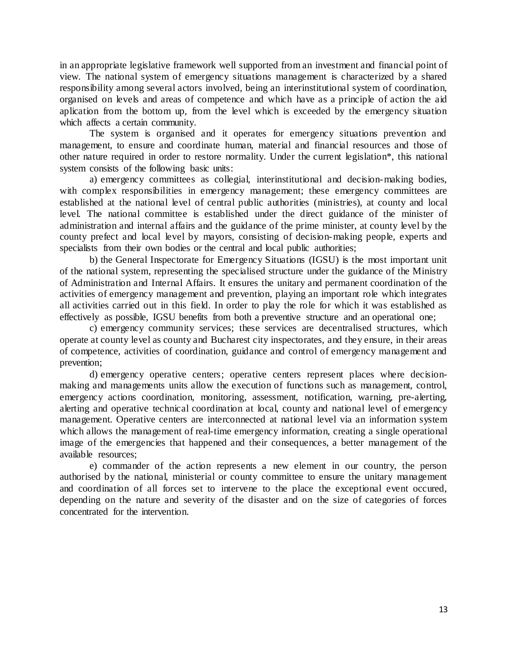in an appropriate legislative framework well supported from an investment and financial point of view. The national system of emergency situations management is characterized by a shared responsibility among several actors involved, being an interinstitutional system of coordination, organised on levels and areas of competence and which have as a principle of action the aid aplication from the bottom up, from the level which is exceeded by the emergency situation which affects a certain community.

The system is organised and it operates for emergency situations prevention and management, to ensure and coordinate human, material and financial resources and those of other nature required in order to restore normality. Under the current legislation\*, this national system consists of the following basic units:

a) emergency committees as collegial, interinstitutional and decision-making bodies, with complex responsibilities in emergency management; these emergency committees are established at the national level of central public authorities (ministries), at county and local level. The national committee is established under the direct guidance of the minister of administration and internal affairs and the guidance of the prime minister, at county level by the county prefect and local level by mayors, consisting of decision-making people, experts and specialists from their own bodies or the central and local public authorities;

b) the General Inspectorate for Emergency Situations (IGSU) is the most important unit of the national system, representing the specialised structure under the guidance of the Ministry of Administration and Internal Affairs. It ensures the unitary and permanent coordination of the activities of emergency management and prevention, playing an important role which integrates all activities carried out in this field. In order to play the role for which it was established as effectively as possible, IGSU benefits from both a preventive structure and an operational one;

c) emergency community services; these services are decentralised structures, which operate at county level as county and Bucharest city inspectorates, and they ensure, in their areas of competence, activities of coordination, guidance and control of emergency management and prevention;

d) emergency operative centers; operative centers represent places where decisionmaking and managements units allow the execution of functions such as management, control, emergency actions coordination, monitoring, assessment, notification, warning, pre-alerting, alerting and operative technical coordination at local, county and national level of emergency management. Operative centers are interconnected at national level via an information system which allows the management of real-time emergency information, creating a single operational image of the emergencies that happened and their consequences, a better management of the available resources;

e) commander of the action represents a new element in our country, the person authorised by the national, ministerial or county committee to ensure the unitary management and coordination of all forces set to intervene to the place the exceptional event occured, depending on the nature and severity of the disaster and on the size of categories of forces concentrated for the intervention.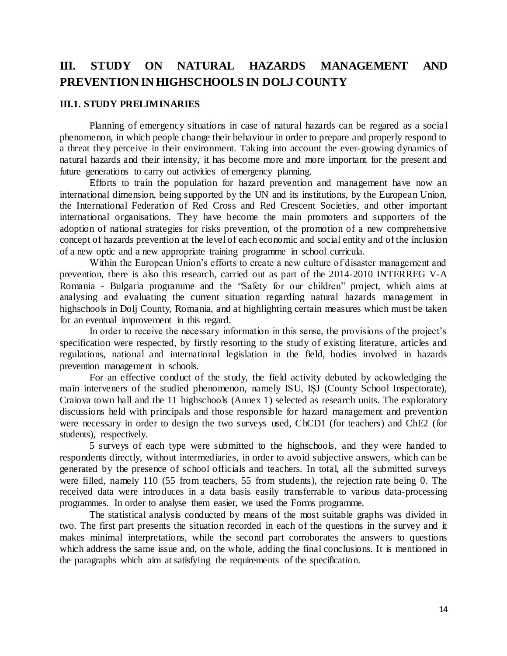## **III. STUDY ON NATURAL HAZARDS MANAGEMENT AND PREVENTION IN HIGHSCHOOLS IN DOLJ COUNTY**

#### **III.1. STUDY PRELIMINARIES**

Planning of emergency situations in case of natural hazards can be regared as a socia l phenomenon, in which people change their behaviour in order to prepare and properly respond to a threat they perceive in their environment. Taking into account the ever-growing dynamics of natural hazards and their intensity, it has become more and more important for the present and future generations to carry out activities of emergency planning.

Efforts to train the population for hazard prevention and management have now an international dimension, being supported by the UN and its institutions, by the European Union, the International Federation of Red Cross and Red Crescent Societies, and other important international organisations. They have become the main promoters and supporters of the adoption of national strategies for risks prevention, of the promotion of a new comprehensive concept of hazards prevention at the level of each economic and social entity and of the inclusion of a new optic and a new appropriate training programme in school curricula.

Within the European Union's efforts to create a new culture of disaster management and prevention, there is also this research, carried out as part of the 2014-2010 [INTERREG V-A](https://www.keep.eu/search?programme=236)  [Romania -](https://www.keep.eu/search?programme=236) Bulgaria programme and the "Safety for our children" project, which aims at analysing and evaluating the current situation regarding natural hazards management in highschools in Dolj County, Romania, and at highlighting certain measures which must be taken for an eventual improvement in this regard.

In order to receive the necessary information in this sense, the provisions of the project's specification were respected, by firstly resorting to the study of existing literature, articles and regulations, national and international legislation in the field, bodies involved in hazards prevention management in schools.

For an effective conduct of the study, the field activity debuted by ackowledging the main interveners of the studied phenomenon, namely ISU, IȘJ (County School Inspectorate), Craiova town hall and the 11 highschools (Annex 1) selected as research units. The exploratory discussions held with principals and those responsible for hazard management and prevention were necessary in order to design the two surveys used, ChCD1 (for teachers) and ChE2 (for students), respectively.

5 surveys of each type were submitted to the highschools, and they were handed to respondents directly, without intermediaries, in order to avoid subjective answers, which can be generated by the presence of school officials and teachers. In total, all the submitted surveys were filled, namely 110 (55 from teachers, 55 from students), the rejection rate being 0. The received data were introduces in a data basis easily transferrable to various data-processing programmes. In order to analyse them easier, we used the Forms programme.

The statistical analysis conducted by means of the most suitable graphs was divided in two. The first part presents the situation recorded in each of the questions in the survey and it makes minimal interpretations, while the second part corroborates the answers to questions which address the same issue and, on the whole, adding the final conclusions. It is mentioned in the paragraphs which aim at satisfying the requirements of the specification.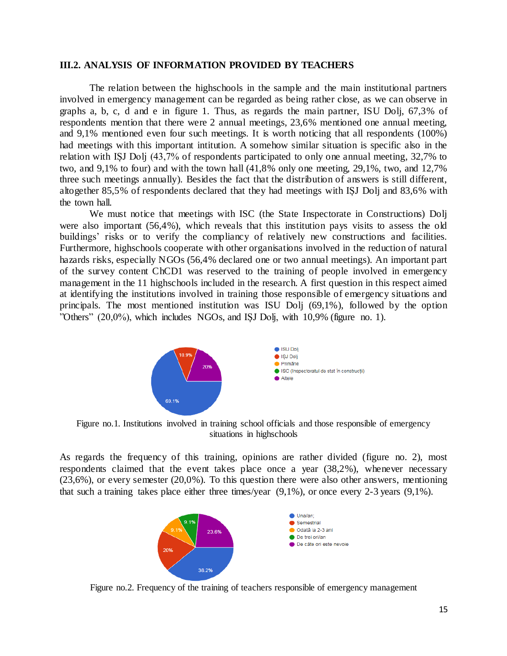#### **III.2. ANALYSIS OF INFORMATION PROVIDED BY TEACHERS**

The relation between the highschools in the sample and the main institutional partners involved in emergency management can be regarded as being rather close, as we can observe in graphs a, b, c, d and e in figure 1. Thus, as regards the main partner, ISU Dolj, 67,3% of respondents mention that there were 2 annual meetings, 23,6% mentioned one annual meeting, and 9,1% mentioned even four such meetings. It is worth noticing that all respondents (100%) had meetings with this important intitution. A somehow similar situation is specific also in the relation with IȘJ Dolj (43,7% of respondents participated to only one annual meeting, 32,7% to two, and 9,1% to four) and with the town hall (41,8% only one meeting, 29,1%, two, and 12,7% three such meetings annually). Besides the fact that the distribution of answers is still different, altogether 85,5% of respondents declared that they had meetings with IȘJ Dolj and 83,6% with the town hall.

We must notice that meetings with ISC (the State Inspectorate in Constructions) Dolj were also important (56,4%), which reveals that this institution pays visits to assess the old buildings' risks or to verify the compliancy of relatively new constructions and facilities. Furthermore, highschools cooperate with other organisations involved in the reduction of natural hazards risks, especially NGOs (56,4% declared one or two annual meetings). An important part of the survey content ChCD1 was reserved to the training of people involved in emergency management in the 11 highschools included in the research. A first question in this respect aimed at identifying the institutions involved in training those responsible of emergency situations and principals. The most mentioned institution was ISU Dolj (69,1%), followed by the option "Others" (20,0%), which includes NGOs, and IȘJ Dolj, with 10,9% (figure no. 1).



Figure no.1. Institutions involved in training school officials and those responsible of emergency situations in highschools

As regards the frequency of this training, opinions are rather divided (figure no. 2), most respondents claimed that the event takes place once a year (38,2%), whenever necessary (23,6%), or every semester (20,0%). To this question there were also other answers, mentioning that such a training takes place either three times/year (9,1%), or once every 2-3 years (9,1%).



Figure no.2. Frequency of the training of teachers responsible of emergency management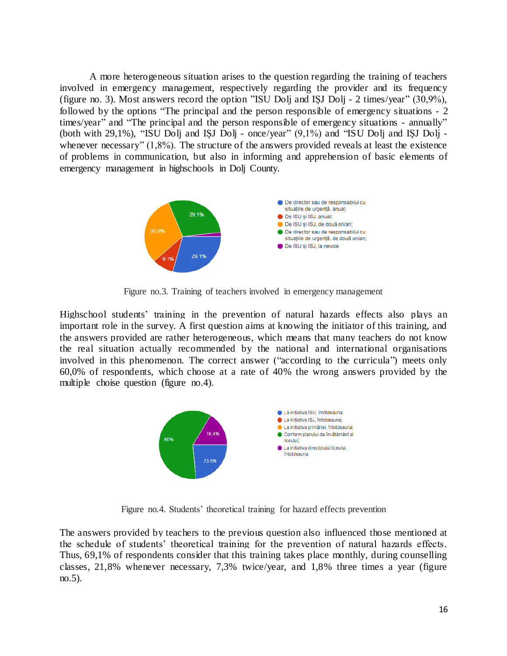A more heterogeneous situation arises to the question regarding the training of teachers involved in emergency management, respectively regarding the provider and its frequency (figure no. 3). Most answers record the option "ISU Dolj and IȘJ Dolj - 2 times/year" (30,9%), followed by the options "The principal and the person responsible of emergency situations - 2 times/year" and "The principal and the person responsible of emergency situations - annually" (both with 29,1%), "ISU Dolj and IȘJ Dolj - once/year" (9,1%) and "ISU Dolj and IȘJ Dolj whenever necessary" (1,8%). The structure of the answers provided reveals at least the existence of problems in communication, but also in informing and apprehension of basic elements of emergency management in highschools in Dolj County.



Figure no.3. Training of teachers involved in emergency management

Highschool students' training in the prevention of natural hazards effects also plays an important role in the survey. A first question aims at knowing the initiator of this training, and the answers provided are rather heterogeneous, which means that many teachers do not know the real situation actually recommended by the national and international organisations involved in this phenomenon. The correct answer ("according to the curricula") meets only 60,0% of respondents, which choose at a rate of 40% the wrong answers provided by the multiple choise question (figure no.4).



Figure no.4. Students' theoretical training for hazard effects prevention

The answers provided by teachers to the previous question also influenced those mentioned at the schedule of students' theoretical training for the prevention of natural hazards effects. Thus, 69,1% of respondents consider that this training takes place monthly, during counselling classes, 21,8% whenever necessary, 7,3% twice/year, and 1,8% three times a year (figure no.5).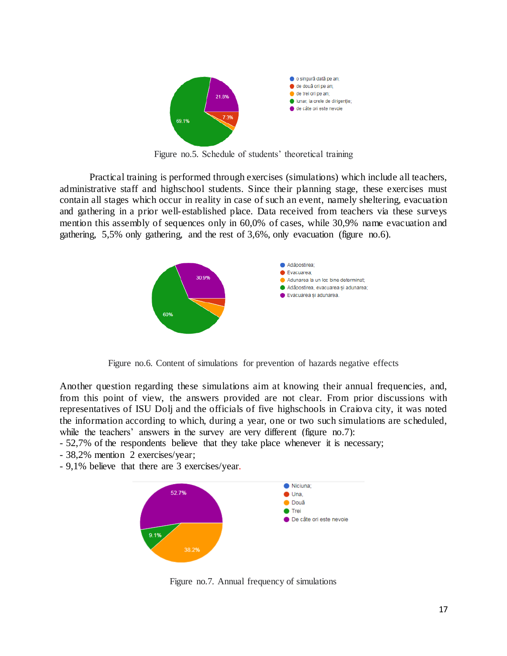

Figure no.5. Schedule of students' theoretical training

Practical training is performed through exercises (simulations) which include all teachers, administrative staff and highschool students. Since their planning stage, these exercises must contain all stages which occur in reality in case of such an event, namely sheltering, evacuation and gathering in a prior well-established place. Data received from teachers via these surveys mention this assembly of sequences only in 60,0% of cases, while 30,9% name evacuation and gathering, 5,5% only gathering, and the rest of 3,6%, only evacuation (figure no.6).



Figure no.6. Content of simulations for prevention of hazards negative effects

Another question regarding these simulations aim at knowing their annual frequencies, and, from this point of view, the answers provided are not clear. From prior discussions with representatives of ISU Dolj and the officials of five highschools in Craiova city, it was noted the information according to which, during a year, one or two such simulations are scheduled, while the teachers' answers in the survey are very different (figure no.7):

- 52,7% of the respondents believe that they take place whenever it is necessary;
- 38,2% mention 2 exercises/year;
- 9,1% believe that there are 3 exercises/year.



Figure no.7. Annual frequency of simulations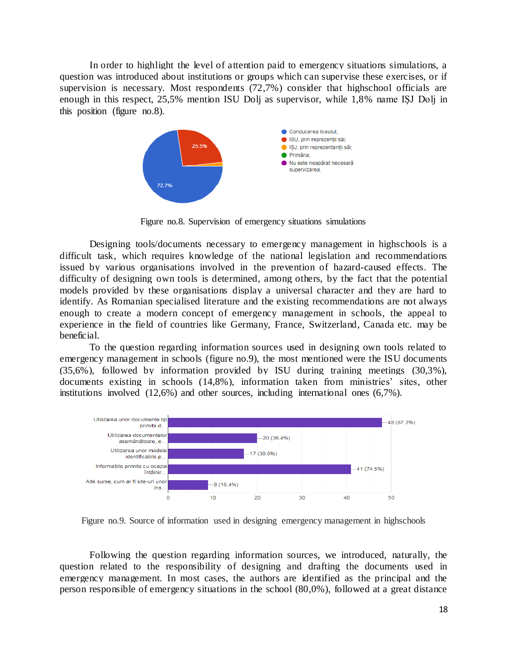In order to highlight the level of attention paid to emergency situations simulations, a question was introduced about institutions or groups which can supervise these exercises, or if supervision is necessary. Most respondents (72,7%) consider that highschool officials are enough in this respect, 25,5% mention ISU Dolj as supervisor, while 1,8% name IȘJ Dolj in this position (figure no.8).



Figure no.8. Supervision of emergency situations simulations

Designing tools/documents necessary to emergency management in highschools is a difficult task, which requires knowledge of the national legislation and recommendations issued by various organisations involved in the prevention of hazard-caused effects. The difficulty of designing own tools is determined, among others, by the fact that the potential models provided by these organisations display a universal character and they are hard to identify. As Romanian specialised literature and the existing recommendations are not always enough to create a modern concept of emergency management in schools, the appeal to experience in the field of countries like Germany, France, Switzerland, Canada etc. may be beneficial.

To the question regarding information sources used in designing own tools related to emergency management in schools (figure no.9), the most mentioned were the ISU documents (35,6%), followed by information provided by ISU during training meetings (30,3%), documents existing in schools (14,8%), information taken from ministries' sites, other institutions involved (12,6%) and other sources, including international ones (6,7%).



Figure no.9. Source of information used in designing emergency management in highschools

Following the question regarding information sources, we introduced, naturally, the question related to the responsibility of designing and drafting the documents used in emergency management. In most cases, the authors are identified as the principal and the person responsible of emergency situations in the school (80,0%), followed at a great distance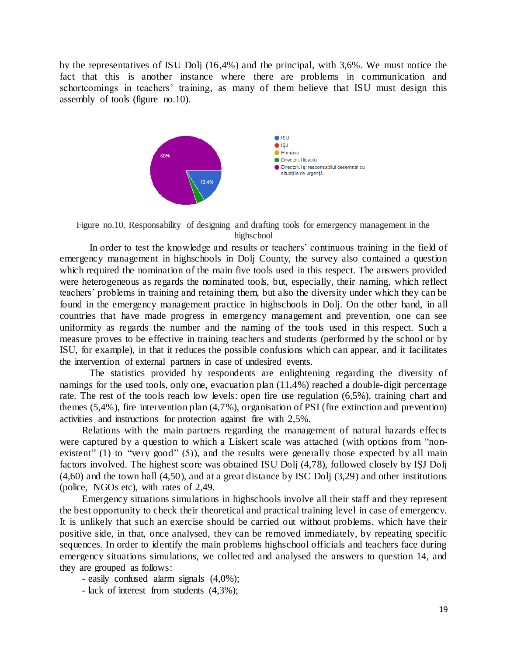by the representatives of ISU Dolj (16,4%) and the principal, with 3,6%. We must notice the fact that this is another instance where there are problems in communication and schortcomings in teachers' training, as many of them believe that ISU must design this assembly of tools (figure no.10).



Figure no.10. Responsability of designing and drafting tools for emergency management in the highschool

In order to test the knowledge and results or teachers' continuous training in the field of emergency management in highschools in Dolj County, the survey also contained a question which required the nomination of the main five tools used in this respect. The answers provided were heterogeneous as regards the nominated tools, but, especially, their naming, which reflect teachers' problems in training and retaining them, but also the diversity under which they can be found in the emergency management practice in highschools in Dolj. On the other hand, in all countries that have made progress in emergency management and prevention, one can see uniformity as regards the number and the naming of the tools used in this respect. Such a measure proves to be effective in training teachers and students (performed by the school or by ISU, for example), in that it reduces the possible confusions which can appear, and it facilitates the intervention of external partners in case of undesired events.

The statistics provided by respondents are enlightening regarding the diversity of namings for the used tools, only one, evacuation plan (11,4%) reached a double-digit percentage rate. The rest of the tools reach low levels: open fire use regulation (6,5%), training chart and themes (5,4%), fire intervention plan (4,7%), organisation of PSI (fire extinction and prevention) activities and instructions for protection against fire with 2,5%.

Relations with the main partners regarding the management of natural hazards effects were captured by a question to which a Liskert scale was attached (with options from "nonexistent" (1) to "very good"  $(5)$ ), and the results were generally those expected by all main factors involved. The highest score was obtained ISU Dolj (4,78), followed closely by IȘJ Dolj (4,60) and the town hall (4,50), and at a great distance by ISC Dolj (3,29) and other institutions (police, NGOs etc), with rates of 2,49.

Emergency situations simulations in highschools involve all their staff and they represent the best opportunity to check their theoretical and practical training level in case of emergency. It is unlikely that such an exercise should be carried out without problems, which have their positive side, in that, once analysed, they can be removed immediately, by repeating specific sequences. In order to identify the main problems highschool officials and teachers face during emergency situations simulations, we collected and analysed the answers to question 14, and they are grouped as follows:

- easily confused alarm signals (4,0%);

- lack of interest from students (4,3%);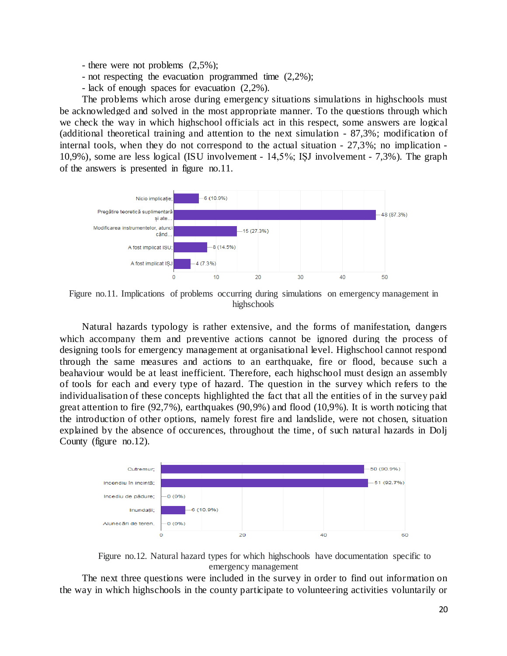- there were not problems (2,5%);
- not respecting the evacuation programmed time (2,2%);
- lack of enough spaces for evacuation (2,2%).

The problems which arose during emergency situations simulations in highschools must be acknowledged and solved in the most appropriate manner. To the questions through which we check the way in which highschool officials act in this respect, some answers are logical (additional theoretical training and attention to the next simulation - 87,3%; modification of internal tools, when they do not correspond to the actual situation - 27,3%; no implication - 10,9%), some are less logical (ISU involvement - 14,5%; IȘJ involvement - 7,3%). The graph of the answers is presented in figure no.11.



Figure no.11. Implications of problems occurring during simulations on emergency management in highschools

Natural hazards typology is rather extensive, and the forms of manifestation, dangers which accompany them and preventive actions cannot be ignored during the process of designing tools for emergency management at organisational level. Highschool cannot respond through the same measures and actions to an earthquake, fire or flood, because such a beahaviour would be at least inefficient. Therefore, each highschool must design an assembly of tools for each and every type of hazard. The question in the survey which refers to the individualisation of these concepts highlighted the fact that all the entities of in the survey paid great attention to fire  $(92,7\%)$ , earthquakes  $(90,9\%)$  and flood  $(10,9\%)$ . It is worth noticing that the introduction of other options, namely forest fire and landslide, were not chosen, situation explained by the absence of occurences, throughout the time, of such natural hazards in Dolj County (figure no.12).



Figure no.12. Natural hazard types for which highschools have documentation specific to emergency management

The next three questions were included in the survey in order to find out information on the way in which highschools in the county participate to volunteering activities voluntarily or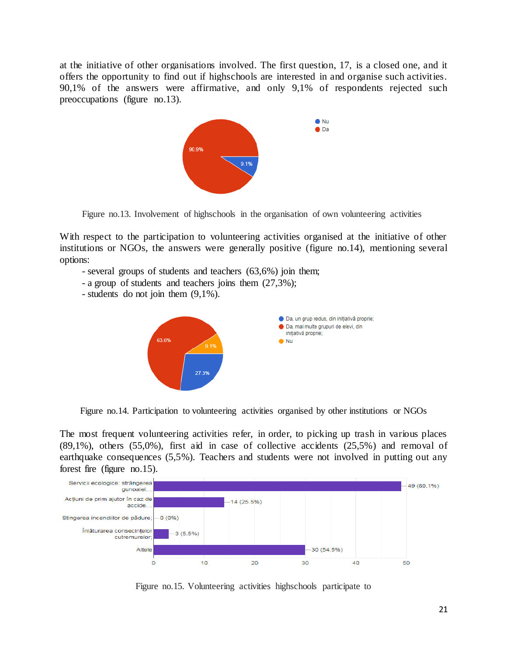at the initiative of other organisations involved. The first question, 17, is a closed one, and it offers the opportunity to find out if highschools are interested in and organise such activities. 90,1% of the answers were affirmative, and only 9,1% of respondents rejected such preoccupations (figure no.13).



Figure no.13. Involvement of highschools in the organisation of own volunteering activities

With respect to the participation to volunteering activities organised at the initiative of other institutions or NGOs, the answers were generally positive (figure no.14), mentioning several options:

- several groups of students and teachers (63,6%) join them;
- a group of students and teachers joins them (27,3%);
- students do not join them (9,1%).



Figure no.14. Participation to volunteering activities organised by other institutions or NGOs

The most frequent volunteering activities refer, in order, to picking up trash in various places (89,1%), others (55,0%), first aid in case of collective accidents (25,5%) and removal of earthquake consequences (5,5%). Teachers and students were not involved in putting out any forest fire (figure no.15).



Figure no.15. Volunteering activities highschools participate to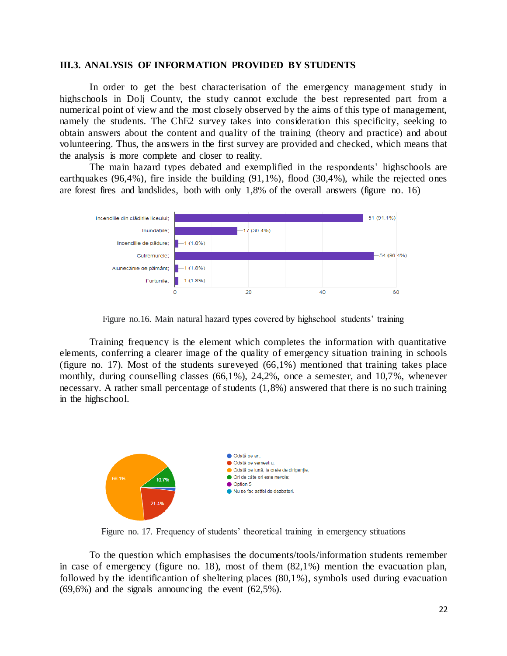#### **III.3. ANALYSIS OF INFORMATION PROVIDED BY STUDENTS**

In order to get the best characterisation of the emergency management study in highschools in Dolj County, the study cannot exclude the best represented part from a numerical point of view and the most closely observed by the aims of this type of management, namely the students. The ChE2 survey takes into consideration this specificity, seeking to obtain answers about the content and quality of the training (theory and practice) and about volunteering. Thus, the answers in the first survey are provided and checked, which means that the analysis is more complete and closer to reality.

The main hazard types debated and exemplified in the respondents' highschools are earthquakes (96,4%), fire inside the building (91,1%), flood (30,4%), while the rejected ones are forest fires and landslides, both with only 1,8% of the overall answers (figure no. 16)



Figure no.16. Main natural hazard types covered by highschool students' training

Training frequency is the element which completes the information with quantitative elements, conferring a clearer image of the quality of emergency situation training in schools (figure no. 17). Most of the students sureveyed (66,1%) mentioned that training takes place monthly, during counselling classes (66,1%), 24,2%, once a semester, and 10,7%, whenever necessary. A rather small percentage of students (1,8%) answered that there is no such training in the highschool.



Figure no. 17. Frequency of students' theoretical training in emergency stituations

To the question which emphasises the documents/tools/information students remember in case of emergency (figure no. 18), most of them (82,1%) mention the evacuation plan, followed by the identificantion of sheltering places (80,1%), symbols used during evacuation (69,6%) and the signals announcing the event (62,5%).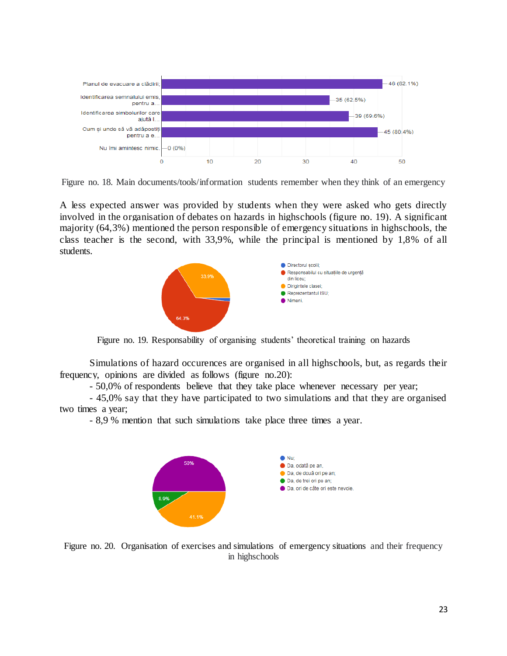

Figure no. 18. Main documents/tools/information students remember when they think of an emergency

A less expected answer was provided by students when they were asked who gets directly involved in the organisation of debates on hazards in highschools (figure no. 19). A significant majority (64,3%) mentioned the person responsible of emergency situations in highschools, the class teacher is the second, with 33,9%, while the principal is mentioned by 1,8% of all students.



Figure no. 19. Responsability of organising students' theoretical training on hazards

Simulations of hazard occurences are organised in all highschools, but, as regards their frequency, opinions are divided as follows (figure no.20):

- 50,0% of respondents believe that they take place whenever necessary per year;

- 45,0% say that they have participated to two simulations and that they are organised two times a year;

- 8,9 % mention that such simulations take place three times a year.



Figure no. 20. Organisation of exercises and simulations of emergency situations and their frequency in highschools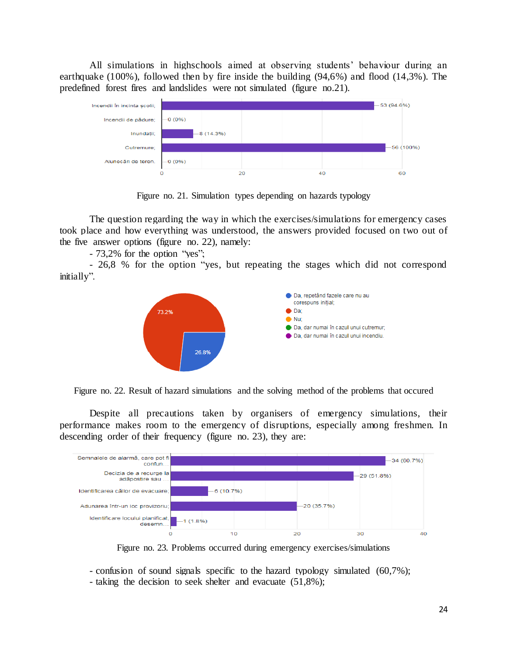All simulations in highschools aimed at observing students' behaviour during an earthquake (100%), followed then by fire inside the building (94,6%) and flood (14,3%). The predefined forest fires and landslides were not simulated (figure no.21).



Figure no. 21. Simulation types depending on hazards typology

The question regarding the way in which the exercises/simulations for emergency cases took place and how everything was understood, the answers provided focused on two out of the five answer options (figure no. 22), namely:

- 73,2% for the option "yes";

- 26,8 % for the option "yes, but repeating the stages which did not correspond initially".



Figure no. 22. Result of hazard simulations and the solving method of the problems that occured

Despite all precautions taken by organisers of emergency simulations, their performance makes room to the emergency of disruptions, especially among freshmen. In descending order of their frequency (figure no. 23), they are:



Figure no. 23. Problems occurred during emergency exercises/simulations

- confusion of sound signals specific to the hazard typology simulated (60,7%); - taking the decision to seek shelter and evacuate (51,8%);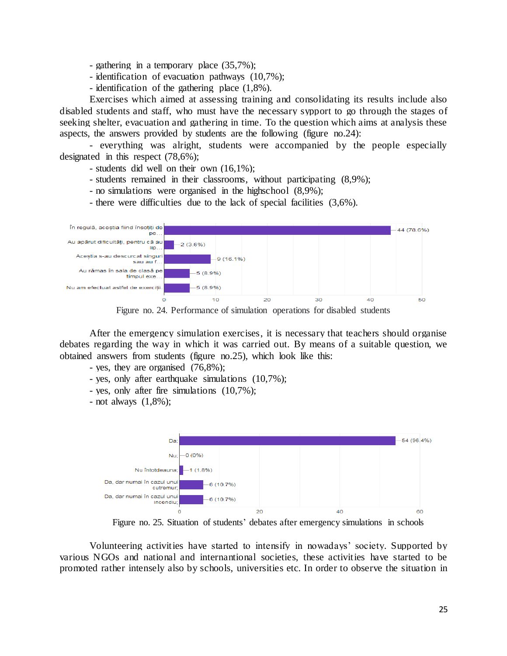- gathering in a temporary place (35,7%);
- identification of evacuation pathways (10,7%);
- identification of the gathering place (1,8%).

Exercises which aimed at assessing training and consolidating its results include also disabled students and staff, who must have the necessary sypport to go through the stages of seeking shelter, evacuation and gathering in time. To the question which aims at analysis these aspects, the answers provided by students are the following (figure no.24):

- everything was alright, students were accompanied by the people especially designated in this respect (78,6%);

- students did well on their own (16,1%);
- students remained in their classrooms, without participating (8,9%);
- no simulations were organised in the highschool (8,9%);
- there were difficulties due to the lack of special facilities (3,6%).



Figure no. 24. Performance of simulation operations for disabled students

After the emergency simulation exercises, it is necessary that teachers should organise debates regarding the way in which it was carried out. By means of a suitable question, we obtained answers from students (figure no.25), which look like this:

- yes, they are organised (76,8%);
- yes, only after earthquake simulations (10,7%);
- yes, only after fire simulations (10,7%);
- not always (1,8%);



Figure no. 25. Situation of students' debates after emergency simulations in schools

Volunteering activities have started to intensify in nowadays' society. Supported by various NGOs and national and internantional societies, these activities have started to be promoted rather intensely also by schools, universities etc. In order to observe the situation in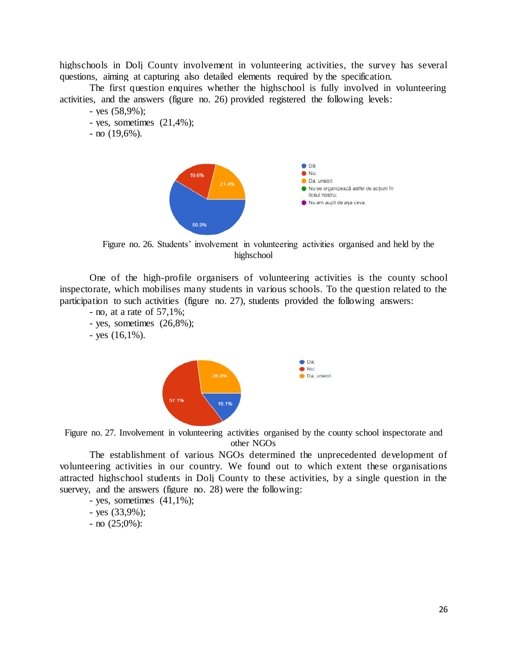highschools in Dolj County involvement in volunteering activities, the survey has several questions, aiming at capturing also detailed elements required by the specification.

The first question enquires whether the highschool is fully involved in volunteering activities, and the answers (figure no. 26) provided registered the following levels:

- yes (58,9%);
- yes, sometimes  $(21,4\%)$ ;
- $-$  no  $(19,6\%)$ .



Figure no. 26. Students' involvement in volunteering activities organised and held by the highschool

One of the high-profile organisers of volunteering activities is the county school inspectorate, which mobilises many students in various schools. To the question related to the participation to such activities (figure no. 27), students provided the following answers:

- no, at a rate of 57,1%;
- yes, sometimes (26,8%);
- $-$  yes  $(16,1\%)$ .



Figure no. 27. Involvement in volunteering activities organised by the county school inspectorate and other NGOs

The establishment of various NGOs determined the unprecedented development of volunteering activities in our country. We found out to which extent these organisations attracted highschool students in Dolj County to these activities, by a single question in the suervey, and the answers (figure no. 28) were the following:

- yes, sometimes  $(41,1\%)$ ;
- yes (33,9%);
- $-$  no  $(25;0%)$ :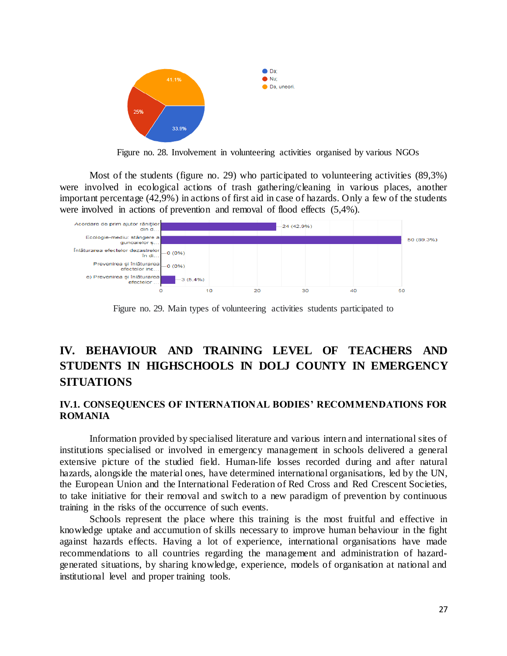

Figure no. 28. Involvement in volunteering activities organised by various NGOs

Most of the students (figure no. 29) who participated to volunteering activities (89,3%) were involved in ecological actions of trash gathering/cleaning in various places, another important percentage (42,9%) in actions of first aid in case of hazards. Only a few of the students were involved in actions of prevention and removal of flood effects (5,4%).



Figure no. 29. Main types of volunteering activities students participated to

## **IV. BEHAVIOUR AND TRAINING LEVEL OF TEACHERS AND STUDENTS IN HIGHSCHOOLS IN DOLJ COUNTY IN EMERGENCY SITUATIONS**

## **IV.1. CONSEQUENCES OF INTERNATIONAL BODIES' RECOMMENDATIONS FOR ROMANIA**

Information provided by specialised literature and various intern and international sites of institutions specialised or involved in emergency management in schools delivered a general extensive picture of the studied field. Human-life losses recorded during and after natural hazards, alongside the material ones, have determined international organisations, led by the UN, the European Union and the International Federation of Red Cross and Red Crescent Societies, to take initiative for their removal and switch to a new paradigm of prevention by continuous training in the risks of the occurrence of such events.

Schools represent the place where this training is the most fruitful and effective in knowledge uptake and accumution of skills necessary to improve human behaviour in the fight against hazards effects. Having a lot of experience, international organisations have made recommendations to all countries regarding the management and administration of hazardgenerated situations, by sharing knowledge, experience, models of organisation at national and institutional level and proper training tools.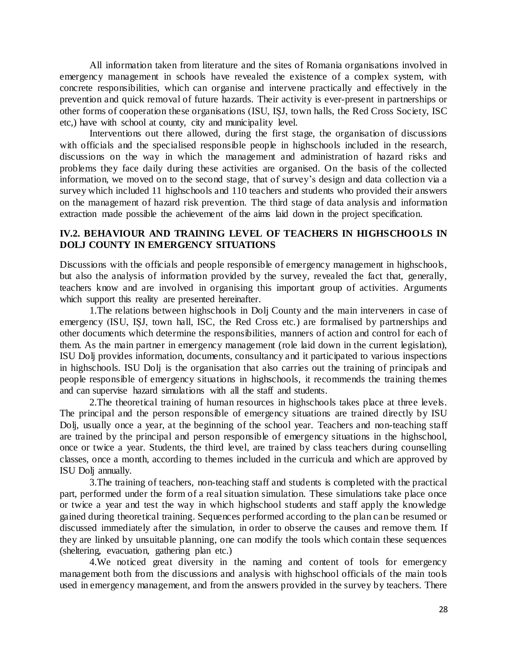All information taken from literature and the sites of Romania organisations involved in emergency management in schools have revealed the existence of a complex system, with concrete responsibilities, which can organise and intervene practically and effectively in the prevention and quick removal of future hazards. Their activity is ever-present in partnerships or other forms of cooperation these organisations (ISU, IȘJ, town halls, the Red Cross Society, ISC etc,) have with school at county, city and municipality level.

Interventions out there allowed, during the first stage, the organisation of discussions with officials and the specialised responsible people in highschools included in the research, discussions on the way in which the management and administration of hazard risks and problems they face daily during these activities are organised. On the basis of the collected information, we moved on to the second stage, that of survey's design and data collection via a survey which included 11 highschools and 110 teachers and students who provided their answers on the management of hazard risk prevention. The third stage of data analysis and information extraction made possible the achievement of the aims laid down in the project specification.

### **IV.2. BEHAVIOUR AND TRAINING LEVEL OF TEACHERS IN HIGHSCHOOLS IN DOLJ COUNTY IN EMERGENCY SITUATIONS**

Discussions with the officials and people responsible of emergency management in highschools, but also the analysis of information provided by the survey, revealed the fact that, generally, teachers know and are involved in organising this important group of activities. Arguments which support this reality are presented hereinafter.

1.The relations between highschools in Dolj County and the main interveners in case of emergency (ISU, ISJ, town hall, ISC, the Red Cross etc.) are formalised by partnerships and other documents which determine the responsibilities, manners of action and control for each of them. As the main partner in emergency management (role laid down in the current legislation), ISU Dolj provides information, documents, consultancy and it participated to various inspections in highschools. ISU Dolj is the organisation that also carries out the training of principals and people responsible of emergency situations in highschools, it recommends the training themes and can supervise hazard simulations with all the staff and students.

2.The theoretical training of human resources in highschools takes place at three levels. The principal and the person responsible of emergency situations are trained directly by ISU Dolj, usually once a year, at the beginning of the school year. Teachers and non-teaching staff are trained by the principal and person responsible of emergency situations in the highschool, once or twice a year. Students, the third level, are trained by class teachers during counselling classes, once a month, according to themes included in the curricula and which are approved by ISU Dolj annually.

3.The training of teachers, non-teaching staff and students is completed with the practical part, performed under the form of a real situation simulation. These simulations take place once or twice a year and test the way in which highschool students and staff apply the knowledge gained during theoretical training. Sequences performed according to the plan can be resumed or discussed immediately after the simulation, in order to observe the causes and remove them. If they are linked by unsuitable planning, one can modify the tools which contain these sequences (sheltering, evacuation, gathering plan etc.)

4.We noticed great diversity in the naming and content of tools for emergency management both from the discussions and analysis with highschool officials of the main tools used in emergency management, and from the answers provided in the survey by teachers. There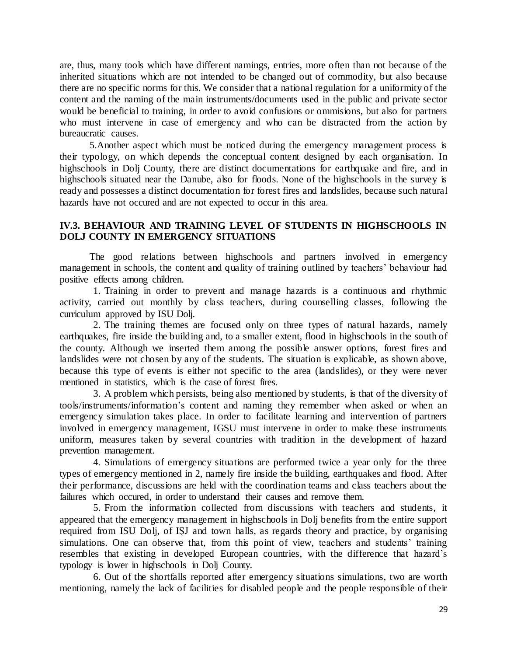are, thus, many tools which have different namings, entries, more often than not because of the inherited situations which are not intended to be changed out of commodity, but also because there are no specific norms for this. We consider that a national regulation for a uniformity of the content and the naming of the main instruments/documents used in the public and private sector would be beneficial to training, in order to avoid confusions or ommisions, but also for partners who must intervene in case of emergency and who can be distracted from the action by bureaucratic causes.

5.Another aspect which must be noticed during the emergency management process is their typology, on which depends the conceptual content designed by each organisation. In highschools in Dolj County, there are distinct documentations for earthquake and fire, and in highschools situated near the Danube, also for floods. None of the highschools in the survey is ready and possesses a distinct documentation for forest fires and landslides, because such natural hazards have not occured and are not expected to occur in this area.

## **IV.3. BEHAVIOUR AND TRAINING LEVEL OF STUDENTS IN HIGHSCHOOLS IN DOLJ COUNTY IN EMERGENCY SITUATIONS**

The good relations between highschools and partners involved in emergency management in schools, the content and quality of training outlined by teachers' behaviour had positive effects among children.

1. Training in order to prevent and manage hazards is a continuous and rhythmic activity, carried out monthly by class teachers, during counselling classes, following the curriculum approved by ISU Dolj.

2. The training themes are focused only on three types of natural hazards, namely earthquakes, fire inside the building and, to a smaller extent, flood in highschools in the south of the county. Although we inserted them among the possible answer options, forest fires and landslides were not chosen by any of the students. The situation is explicable, as shown above, because this type of events is either not specific to the area (landslides), or they were never mentioned in statistics, which is the case of forest fires.

3. A problem which persists, being also mentioned by students, is that of the diversity of tools/instruments/information's content and naming they remember when asked or when an emergency simulation takes place. In order to facilitate learning and intervention of partners involved in emergency management, IGSU must intervene in order to make these instruments uniform, measures taken by several countries with tradition in the development of hazard prevention management.

4. Simulations of emergency situations are performed twice a year only for the three types of emergency mentioned in 2, namely fire inside the building, earthquakes and flood. After their performance, discussions are held with the coordination teams and class teachers about the failures which occured, in order to understand their causes and remove them.

5. From the information collected from discussions with teachers and students, it appeared that the emergency management in highschools in Dolj benefits from the entire support required from ISU Dolj, of IȘJ and town halls, as regards theory and practice, by organising simulations. One can observe that, from this point of view, teachers and students' training resembles that existing in developed European countries, with the difference that hazard's typology is lower in highschools in Dolj County.

6. Out of the shortfalls reported after emergency situations simulations, two are worth mentioning, namely the lack of facilities for disabled people and the people responsible of their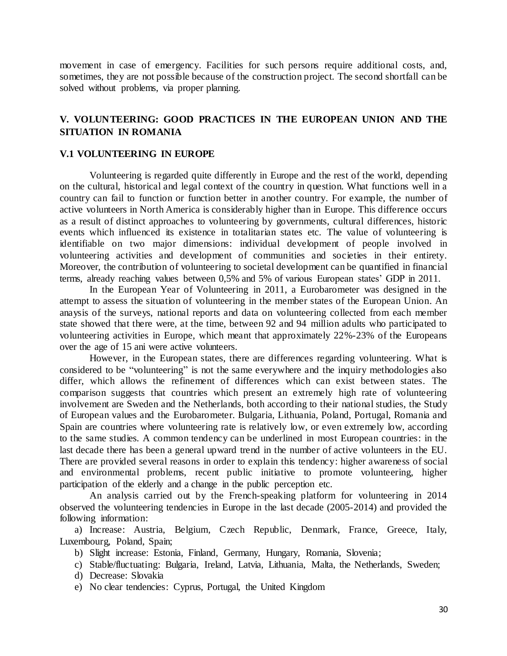movement in case of emergency. Facilities for such persons require additional costs, and, sometimes, they are not possible because of the construction project. The second shortfall can be solved without problems, via proper planning.

## **V. VOLUNTEERING: GOOD PRACTICES IN THE EUROPEAN UNION AND THE SITUATION IN ROMANIA**

#### **V.1 VOLUNTEERING IN EUROPE**

Volunteering is regarded quite differently in Europe and the rest of the world, depending on the cultural, historical and legal context of the country in question. What functions well in a country can fail to function or function better in another country. For example, the number of active volunteers in North America is considerably higher than in Europe. This difference occurs as a result of distinct approaches to volunteering by governments, cultural differences, historic events which influenced its existence in totalitarian states etc. The value of volunteering is identifiable on two major dimensions: individual development of people involved in volunteering activities and development of communities and societies in their entirety. Moreover, the contribution of volunteering to societal development can be quantified in financial terms, already reaching values between 0,5% and 5% of various European states' GDP in 2011.

In the European Year of Volunteering in 2011, a Eurobarometer was designed in the attempt to assess the situation of volunteering in the member states of the European Union. An anaysis of the surveys, national reports and data on volunteering collected from each member state showed that there were, at the time, between 92 and 94 million adults who participated to volunteering activities in Europe, which meant that approximately 22%-23% of the Europeans over the age of 15 ani were active volunteers.

However, in the European states, there are differences regarding volunteering. What is considered to be "volunteering" is not the same everywhere and the inquiry methodologies also differ, which allows the refinement of differences which can exist between states. The comparison suggests that countries which present an extremely high rate of volunteering involvement are Sweden and the Netherlands, both according to their national studies, the Study of European values and the Eurobarometer. Bulgaria, Lithuania, Poland, Portugal, Romania and Spain are countries where volunteering rate is relatively low, or even extremely low, according to the same studies. A common tendency can be underlined in most European countries: in the last decade there has been a general upward trend in the number of active volunteers in the EU. There are provided several reasons in order to explain this tendency: higher awareness of social and environmental problems, recent public initiative to promote volunteering, higher participation of the elderly and a change in the public perception etc.

An analysis carried out by the French-speaking platform for volunteering in 2014 observed the volunteering tendencies in Europe in the last decade (2005-2014) and provided the following information:

a) Increase: Austria, Belgium, Czech Republic, Denmark, France, Greece, Italy, Luxembourg, Poland, Spain;

- b) Slight increase: Estonia, Finland, Germany, Hungary, Romania, Slovenia;
- c) Stable/fluctuating: Bulgaria, Ireland, Latvia, Lithuania, Malta, the Netherlands, Sweden;
- d) Decrease: Slovakia
- e) No clear tendencies: Cyprus, Portugal, the United Kingdom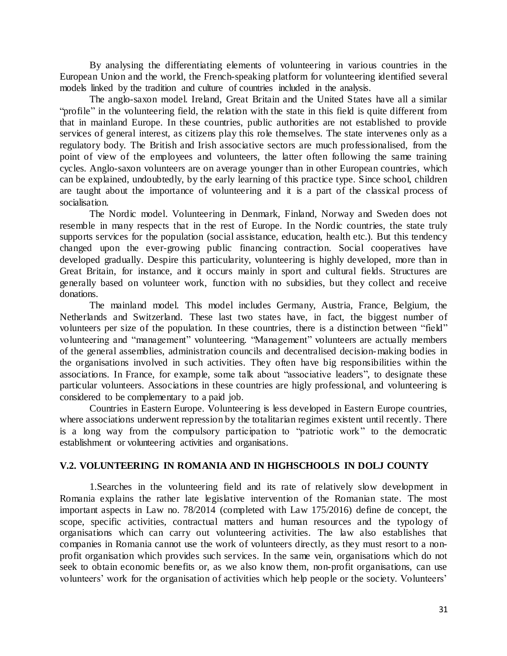By analysing the differentiating elements of volunteering in various countries in the European Union and the world, the French-speaking platform for volunteering identified several models linked by the tradition and culture of countries included in the analysis.

The anglo-saxon model. Ireland, Great Britain and the United States have all a similar "profile" in the volunteering field, the relation with the state in this field is quite different from that in mainland Europe. In these countries, public authorities are not established to provide services of general interest, as citizens play this role themselves. The state intervenes only as a regulatory body. The British and Irish associative sectors are much professionalised, from the point of view of the employees and volunteers, the latter often following the same training cycles. Anglo-saxon volunteers are on average younger than in other European countries, which can be explained, undoubtedly, by the early learning of this practice type. Since school, children are taught about the importance of volunteering and it is a part of the classical process of socialisation.

The Nordic model. Volunteering in Denmark, Finland, Norway and Sweden does not resemble in many respects that in the rest of Europe. In the Nordic countries, the state truly supports services for the population (social assistance, education, health etc.). But this tendency changed upon the ever-growing public financing contraction. Social cooperatives have developed gradually. Despire this particularity, volunteering is highly developed, more than in Great Britain, for instance, and it occurs mainly in sport and cultural fields. Structures are generally based on volunteer work, function with no subsidies, but they collect and receive donations.

The mainland model. This model includes Germany, Austria, France, Belgium, the Netherlands and Switzerland. These last two states have, in fact, the biggest number of volunteers per size of the population. In these countries, there is a distinction between "field" volunteering and "management" volunteering. "Management" volunteers are actually members of the general assemblies, administration councils and decentralised decision-making bodies in the organisations involved in such activities. They often have big responsibilities within the associations. In France, for example, some talk about "associative leaders", to designate these particular volunteers. Associations in these countries are higly professional, and volunteering is considered to be complementary to a paid job.

Countries in Eastern Europe. Volunteering is less developed in Eastern Europe countries, where associations underwent repression by the totalitarian regimes existent until recently. There is a long way from the compulsory participation to "patriotic work" to the democratic establishment or volunteering activities and organisations.

### **V.2. VOLUNTEERING IN ROMANIA AND IN HIGHSCHOOLS IN DOLJ COUNTY**

1.Searches in the volunteering field and its rate of relatively slow development in Romania explains the rather late legislative intervention of the Romanian state. The most important aspects in Law no. 78/2014 (completed with Law 175/2016) define de concept, the scope, specific activities, contractual matters and human resources and the typology of organisations which can carry out volunteering activities. The law also establishes that companies in Romania cannot use the work of volunteers directly, as they must resort to a nonprofit organisation which provides such services. In the same vein, organisations which do not seek to obtain economic benefits or, as we also know them, non-profit organisations, can use volunteers' work for the organisation of activities which help people or the society. Volunteers'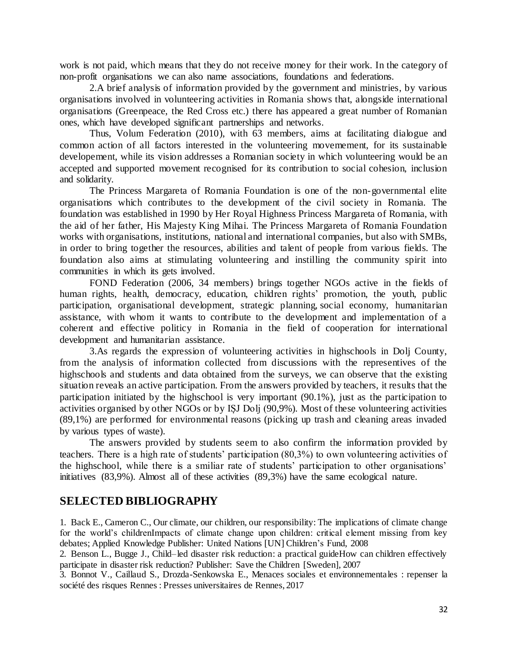work is not paid, which means that they do not receive money for their work. In the category of non-profit organisations we can also name associations, foundations and federations.

2.A brief analysis of information provided by the government and ministries, by various organisations involved in volunteering activities in Romania shows that, alongside international organisations (Greenpeace, the Red Cross etc.) there has appeared a great number of Romanian ones, which have developed significant partnerships and networks.

Thus, Volum Federation (2010), with 63 members, aims at facilitating dialogue and common action of all factors interested in the volunteering movemement, for its sustainable developement, while its vision addresses a Romanian society in which volunteering would be an accepted and supported movement recognised for its contribution to social cohesion, inclusion and solidarity.

The Princess Margareta of Romania Foundation is one of the non-governmental elite organisations which contributes to the development of the civil society in Romania. The foundation was established in 1990 by Her Royal Highness Princess Margareta of Romania, with the aid of her father, His Majesty King Mihai. The Princess Margareta of Romania Foundation works with organisations, institutions, national and international companies, but also with SMBs, in order to bring together the resources, abilities and talent of people from various fields. The foundation also aims at stimulating volunteering and instilling the community spirit into communities in which its gets involved.

FOND Federation (2006, 34 members) brings together NGOs active in the fields of human rights, health, democracy, education, children rights' promotion, the youth, public participation, organisational development, strategic planning, social economy, humanitarian assistance, with whom it wants to contribute to the development and implementation of a coherent and effective politicy in Romania in the field of cooperation for international development and humanitarian assistance.

3.As regards the expression of volunteering activities in highschools in Dolj County, from the analysis of information collected from discussions with the representives of the highschools and students and data obtained from the surveys, we can observe that the existing situation reveals an active participation. From the answers provided by teachers, it results that the participation initiated by the highschool is very important (90.1%), just as the participation to activities organised by other NGOs or by IȘJ Dolj (90,9%). Most of these volunteering activities (89,1%) are performed for environmental reasons (picking up trash and cleaning areas invaded by various types of waste).

The answers provided by students seem to also confirm the information provided by teachers. There is a high rate of students' participation (80,3%) to own volunteering activities of the highschool, while there is a smiliar rate of students' participation to other organisations' initiatives (83,9%). Almost all of these activities (89,3%) have the same ecological nature.

## **SELECTED BIBLIOGRAPHY**

1. Back E., Cameron C., Our climate, our children, our responsibility: The implications of climate change for the world's childrenImpacts of climate change upon children: critical element missing from key debates; Applied Knowledge Publisher: United Nations [UN] Children's Fund, 2008

2. Benson L., Bugge J., Child–led disaster risk reduction: a practical guideHow can children effectively participate in disaster risk reduction? Publisher: Save the Children [Sweden], 2007

3. Bonnot V., Caillaud S., Drozda-Senkowska E., Menaces sociales et environnementales : repenser la société des risques Rennes : Presses universitaires de Rennes, 2017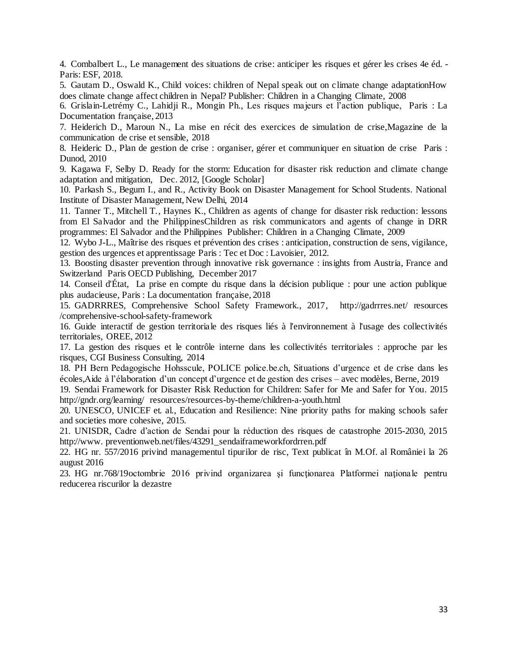4. Combalbert L., Le management des situations de crise: anticiper les risques et gérer les crises 4e éd. - Paris: ESF, 2018.

5. Gautam D., Oswald K., Child voices: children of Nepal speak out on climate change adaptationHow does climate change affect children in Nepal? Publisher: Children in a Changing Climate, 2008

6. Grislain-Letrémy C., Lahidji R., Mongin Ph., Les risques majeurs et l'action publique, Paris : La Documentation française, 2013

7. Heiderich D., Maroun N., La mise en récit des exercices de simulation de crise,Magazine de la communication de crise et sensible, 2018

8. Heideric D., Plan de gestion de crise : organiser, gérer et communiquer en situation de crise Paris : Dunod, 2010

9. Kagawa F, Selby D. Ready for the storm: Education for disaster risk reduction and climate change adaptation and mitigation, Dec. 2012, [\[Google Scholar\]](https://scholar.google.com/scholar_lookup?journal=J+Educ+Sustain+Dev&title=Ready+for+the+storm:+Education+for+disaster+risk+reduction+and+climate+change+adaptation+and+mitigation1&author=F+Kagawa&author=D+Selby&volume=6&publication_year=2012&pages=207-17&)

10. Parkash S., Begum I., and R., Activity Book on Disaster Management for School Students. National Institute of Disaster Management, New Delhi, 2014

11. Tanner T., Mitchell T., Haynes K., Children as agents of change for disaster risk reduction: lessons from El Salvador and the PhilippinesChildren as risk communicators and agents of change in DRR programmes: El Salvador and the Philippines Publisher: Children in a Changing Climate, 2009

12. Wybo J-L., Maîtrise des risques et prévention des crises : anticipation, construction de sens, vigilance, gestion des urgences et apprentissage Paris : Tec et Doc : Lavoisier, 2012.

13. Boosting disaster prevention through innovative risk governance : insights from Austria, France and Switzerland Paris OECD Publishing, December 2017

14. Conseil d'État, La prise en compte du risque dans la décision publique : pour une action publique plus audacieuse, Paris : La documentation française, 2018

15. GADRRRES, Comprehensive School Safety Framework., 2017, [http://gadrrres.net/ resources](http://gadrrres.net/%20resources%20/comprehensive-school-safety-framework)  [/comprehensive-school-safety-framework](http://gadrrres.net/%20resources%20/comprehensive-school-safety-framework)

16. Guide interactif de gestion territoriale des risques liés à l'environnement à l'usage des collectivités territoriales, OREE, 2012

17. La gestion des risques et le contrôle interne dans les collectivités territoriales : approche par les risques, CGI Business Consulting, 2014

18. PH Bern Pedagogische Hohsscule, POLICE police.be.ch, Situations d'urgence et de crise dans les écoles,Aide à l'élaboration d'un concept d'urgence et de gestion des crises – avec modèles, Berne, 2019

19. Sendai Framework for Disaster Risk Reduction for Children: Safer for Me and Safer for You. 2015 <http://gndr.org/learning/> resources/resources-by-theme/children-a-youth.html

20. UNESCO, UNICEF et. al., Education and Resilience: Nine priority paths for making schools safer and societies more cohesive, 2015.

21. UNISDR, Cadre d'action de Sendai pour la réduction des risques de catastrophe 2015-2030, 2015 http://www. preventionweb.net/files/43291\_sendaiframeworkfordrren.pdf

22. HG nr. 557/2016 privind managementul tipurilor de risc, Text publicat în M.Of. al României la 26 august 2016

23. HG nr.768/19octombrie 2016 privind organizarea şi funcţionarea Platformei naţionale pentru reducerea riscurilor la dezastre